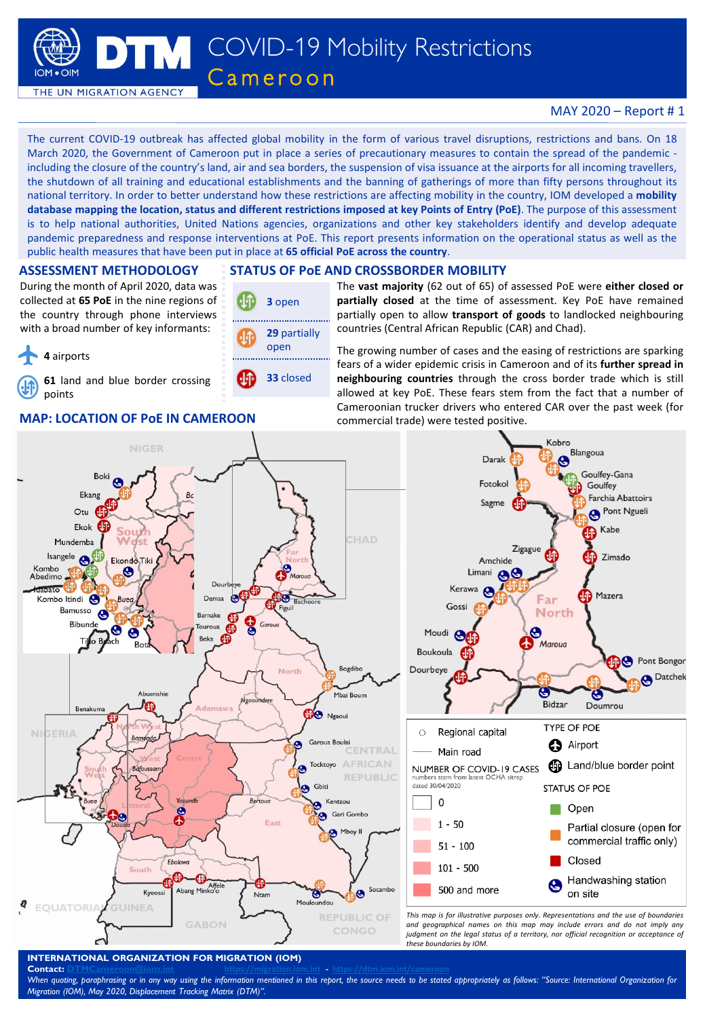

## MAY 2020 – Report # 1

The current COVID-19 outbreak has affected global mobility in the form of various travel disruptions, restrictions and bans. On 18 March 2020, the Government of Cameroon put in place a series of precautionary measures to contain the spread of the pandemic including the closure of the country's land, air and sea borders, the suspension of visa issuance at the airports for all incoming travellers, the shutdown of all training and educational establishments and the banning of gatherings of more than fifty persons throughout its national territory. In order to better understand how these restrictions are affecting mobility in the country, IOM developed a **mobility** database mapping the location, status and different restrictions imposed at key Points of Entry (PoE). The purpose of this assessment is to help national authorities, United Nations agencies, organizations and other key stakeholders identify and develop adequate pandemic preparedness and response interventions at PoE. This report presents information on the operational status as well as the public health measures that have been put in place at **65 official PoE across the country**.

#### **ASSESSMENT METHODOLOGY**

During the month of April 2020, data was collected at **65 PoE** in the nine regions of the country through phone interviews with a broad number of key informants:

**4** airports

**61** land and blue border crossing points

### **MAP: LOCATION OF PoE IN CAMEROON** commercial trade) were tested positive.

### **STATUS OF PoE AND CROSSBORDER MOBILITY**



The **vast majority** (62 out of 65) of assessed PoE were **either closed or partially closed** at the time of assessment. Key PoE have remained partially open to allow **transport of goods** to landlocked neighbouring countries (Central African Republic (CAR) and Chad).

The growing number of cases and the easing of restrictions are sparking fears of a wider epidemic crisis in Cameroon and of its **further spread in neighbouring countries** through the cross border trade which is still allowed at key PoE. These fears stem from the fact that a number of Cameroonian trucker drivers who entered CAR over the past week (for



### **INTERNATIONAL ORGANIZATION FOR MIGRATION (IOM)**

**Contact: [DTMCameroon@iom.int](mailto:DTMCameroon@iom.int) <https://migration.iom.int> - <https://dtm.iom.int/cameroon>**

When quoting, paraphrasing or in any way using the information mentioned in this report, the source needs to be stated appropriately as follows: "Source: International Organization for *Migration (IOM), May 2020, Displacement Tracking Matrix (DTM)".*